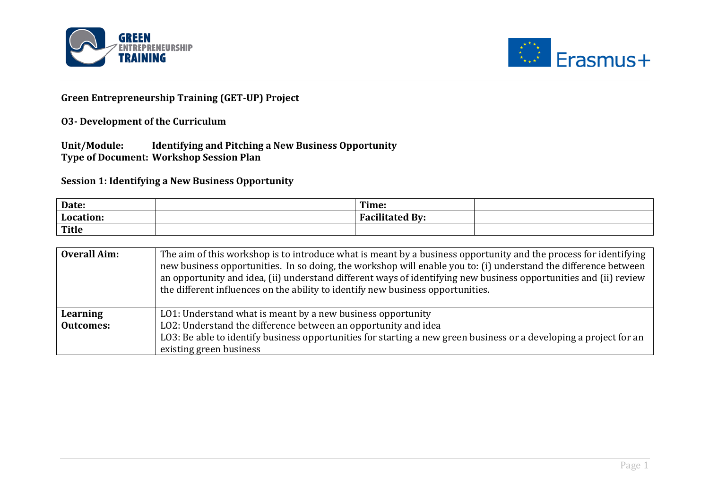



## **Green Entrepreneurship Training (GET-UP) Project**

## **O3-** Development of the Curriculum

Unit/Module: Identifying and Pitching a New Business Opportunity **Type of Document: Workshop Session Plan** 

**Session 1: Identifying a New Business Opportunity** 

| Date:     | Time:                                                  |  |
|-----------|--------------------------------------------------------|--|
| Location: | <b>Eacilitated</b><br>$\mathbf{H}$ By:<br>. <b>. .</b> |  |
| Title     |                                                        |  |

| <b>Overall Aim:</b> | The aim of this workshop is to introduce what is meant by a business opportunity and the process for identifying<br>new business opportunities. In so doing, the workshop will enable you to: (i) understand the difference between<br>an opportunity and idea, (ii) understand different ways of identifying new business opportunities and (ii) review<br>the different influences on the ability to identify new business opportunities. |
|---------------------|---------------------------------------------------------------------------------------------------------------------------------------------------------------------------------------------------------------------------------------------------------------------------------------------------------------------------------------------------------------------------------------------------------------------------------------------|
| Learning            | LO1: Understand what is meant by a new business opportunity                                                                                                                                                                                                                                                                                                                                                                                 |
| <b>Outcomes:</b>    | LO2: Understand the difference between an opportunity and idea                                                                                                                                                                                                                                                                                                                                                                              |
|                     | LO3: Be able to identify business opportunities for starting a new green business or a developing a project for an                                                                                                                                                                                                                                                                                                                          |
|                     | existing green business                                                                                                                                                                                                                                                                                                                                                                                                                     |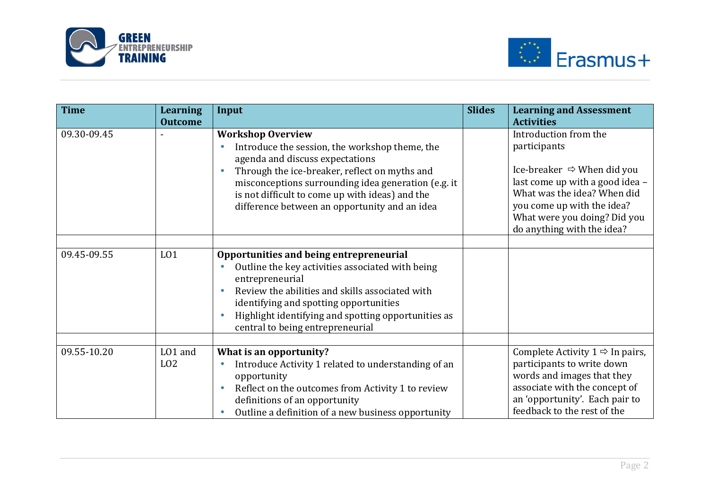



| <b>Time</b> | <b>Learning</b><br><b>Outcome</b> | Input                                                                                                                                                                                                                                                                                                                     | <b>Slides</b> | <b>Learning and Assessment</b><br><b>Activities</b>                                                                                                                                                                                           |
|-------------|-----------------------------------|---------------------------------------------------------------------------------------------------------------------------------------------------------------------------------------------------------------------------------------------------------------------------------------------------------------------------|---------------|-----------------------------------------------------------------------------------------------------------------------------------------------------------------------------------------------------------------------------------------------|
| 09.30-09.45 |                                   | <b>Workshop Overview</b><br>Introduce the session, the workshop theme, the<br>agenda and discuss expectations<br>Through the ice-breaker, reflect on myths and<br>misconceptions surrounding idea generation (e.g. it<br>is not difficult to come up with ideas) and the<br>difference between an opportunity and an idea |               | Introduction from the<br>participants<br>Ice-breaker $\Rightarrow$ When did you<br>last come up with a good idea -<br>What was the idea? When did<br>you come up with the idea?<br>What were you doing? Did you<br>do anything with the idea? |
| 09.45-09.55 | L <sub>01</sub>                   | Opportunities and being entrepreneurial<br>Outline the key activities associated with being<br>entrepreneurial<br>Review the abilities and skills associated with<br>identifying and spotting opportunities<br>Highlight identifying and spotting opportunities as<br>central to being entrepreneurial                    |               |                                                                                                                                                                                                                                               |
| 09.55-10.20 | LO1 and<br>L <sub>02</sub>        | What is an opportunity?<br>Introduce Activity 1 related to understanding of an<br>opportunity<br>Reflect on the outcomes from Activity 1 to review<br>definitions of an opportunity<br>Outline a definition of a new business opportunity                                                                                 |               | Complete Activity $1 \Rightarrow$ In pairs,<br>participants to write down<br>words and images that they<br>associate with the concept of<br>an 'opportunity'. Each pair to<br>feedback to the rest of the                                     |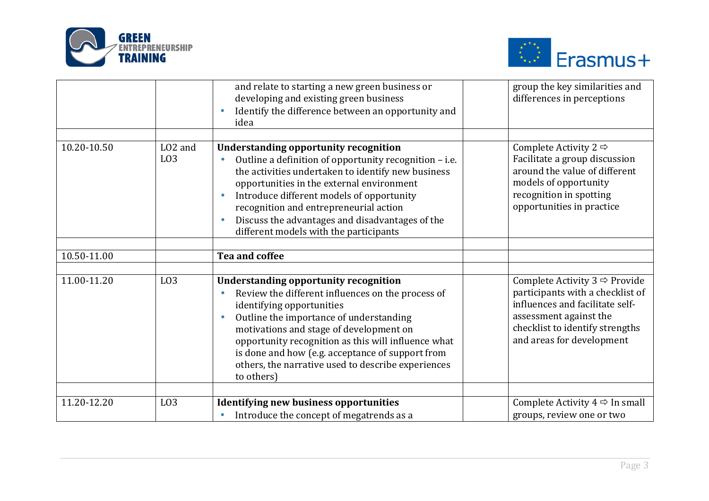



|             |                                         | and relate to starting a new green business or<br>developing and existing green business<br>Identify the difference between an opportunity and<br>idea                                                                                                                                                                                                                                              | group the key similarities and<br>differences in perceptions                                                                                                                                               |
|-------------|-----------------------------------------|-----------------------------------------------------------------------------------------------------------------------------------------------------------------------------------------------------------------------------------------------------------------------------------------------------------------------------------------------------------------------------------------------------|------------------------------------------------------------------------------------------------------------------------------------------------------------------------------------------------------------|
| 10.20-10.50 | LO <sub>2</sub> and<br>L <sub>0</sub> 3 | <b>Understanding opportunity recognition</b><br>Outline a definition of opportunity recognition - i.e.<br>the activities undertaken to identify new business<br>opportunities in the external environment<br>Introduce different models of opportunity<br>recognition and entrepreneurial action<br>Discuss the advantages and disadvantages of the<br>different models with the participants       | Complete Activity 2 $\Rightarrow$<br>Facilitate a group discussion<br>around the value of different<br>models of opportunity<br>recognition in spotting<br>opportunities in practice                       |
| 10.50-11.00 |                                         | <b>Tea and coffee</b>                                                                                                                                                                                                                                                                                                                                                                               |                                                                                                                                                                                                            |
|             |                                         |                                                                                                                                                                                                                                                                                                                                                                                                     |                                                                                                                                                                                                            |
| 11.00-11.20 | L <sub>03</sub>                         | <b>Understanding opportunity recognition</b><br>Review the different influences on the process of<br>identifying opportunities<br>Outline the importance of understanding<br>motivations and stage of development on<br>opportunity recognition as this will influence what<br>is done and how (e.g. acceptance of support from<br>others, the narrative used to describe experiences<br>to others) | Complete Activity $3 \Rightarrow$ Provide<br>participants with a checklist of<br>influences and facilitate self-<br>assessment against the<br>checklist to identify strengths<br>and areas for development |
|             |                                         |                                                                                                                                                                                                                                                                                                                                                                                                     |                                                                                                                                                                                                            |
| 11.20-12.20 | L <sub>03</sub>                         | <b>Identifying new business opportunities</b><br>Introduce the concept of megatrends as a                                                                                                                                                                                                                                                                                                           | Complete Activity $4 \Rightarrow$ In small<br>groups, review one or two                                                                                                                                    |